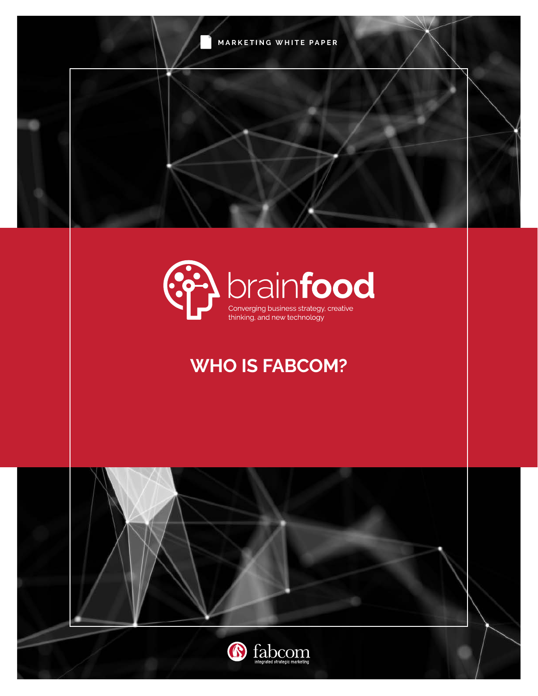**MARKETING WHITE PAPER**



# **WHO IS FABCOM?**

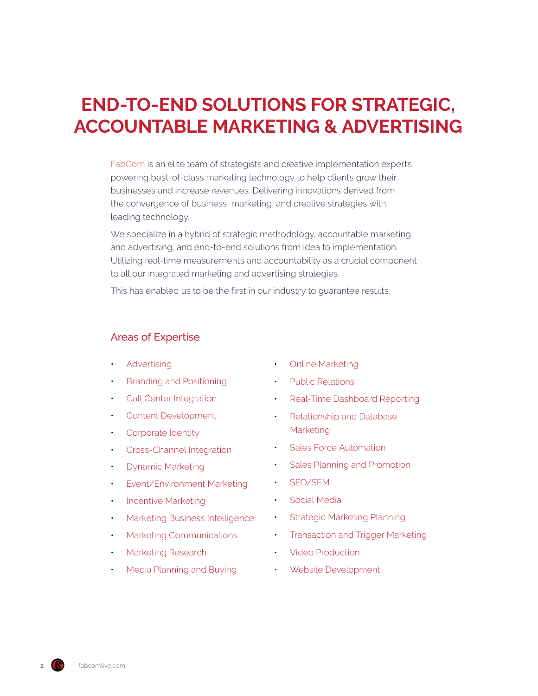# **END-TO-END SOLUTIONS FOR STRATEGIC, ACCOUNTABLE MARKETING & ADVERTISING**

[FabCom](http://www.fabcomlive.com) is an elite team of strategists and creative implementation experts powering best-of-class marketing technology to help clients grow their businesses and increase revenues. Delivering innovations derived from the convergence of business, marketing, and creative strategies with leading technology.

We specialize in a hybrid of strategic methodology, accountable marketing and advertising, and end-to-end solutions from idea to implementation. Utilizing real-time measurements and accountability as a crucial component to all our integrated marketing and advertising strategies.

This has enabled us to be the first in our industry to guarantee results.

#### Areas of Expertise

- [Advertising](https://www.fabcomlive.com/phoenix-marketing-advertising-agency-services/advertising-and-marketing-services)
- [Branding and Positioning](https://www.fabcomlive.com/phoenix-marketing-advertising-agency-services/branding-and-positioning)
- [Call Center Integration](https://www.fabcomlive.com/phoenix-marketing-advertising-agency-services/call-center-integration)
- [Content Development](https://www.fabcomlive.com/phoenix-marketing-advertising-agency-services/content-development)
- [Corporate Identity](https://www.fabcomlive.com/phoenix-marketing-advertising-agency-services/corporate-identity)
- [Cross-Channel Integration](https://www.fabcomlive.com/phoenix-marketing-advertising-agency-services/cross-channel-integration)
- [Dynamic Marketing](https://www.fabcomlive.com/phoenix-marketing-advertising-agency-services/dynamic-marketing)
- [Event/Environment Marketing](https://www.fabcomlive.com/phoenix-marketing-advertising-agency-services/event-marketing)
- [Incentive Marketing](https://www.fabcomlive.com/phoenix-marketing-advertising-agency-services/incentive-marketing)
- [Marketing Business Intelligence](https://www.fabcomlive.com/phoenix-marketing-advertising-agency-services/marketing-business-intelligence)
- [Marketing Communications](https://www.fabcomlive.com/phoenix-marketing-advertising-agency-services/marketing-communications)
- [Marketing Research](https://www.fabcomlive.com/phoenix-marketing-advertising-agency-services/marketing-research)
- [Media Planning and Buying](https://www.fabcomlive.com/phoenix-marketing-advertising-agency-services/media-planning-and-buying)
- [Online Marketing](https://www.fabcomlive.com/phoenix-marketing-advertising-agency-services/online-marketing)
- [Public Relations](https://www.fabcomlive.com/phoenix-marketing-advertising-agency-services/public-relations)
- [Real-Time Dashboard Reporting](https://www.fabcomlive.com/phoenix-marketing-advertising-agency-services/real-time-dashboard-reporting)
- [Relationship and Database](https://www.fabcomlive.com/phoenix-marketing-advertising-agency-services/relationship-and-database-marketing)  [Marketing](https://www.fabcomlive.com/phoenix-marketing-advertising-agency-services/relationship-and-database-marketing)
- [Sales Force Automation](https://www.fabcomlive.com/phoenix-marketing-advertising-agency-services/sales-force-automation)
- [Sales Planning and Promotion](https://www.fabcomlive.com/phoenix-marketing-advertising-agency-services/sales-planning-and-promotion)
- [SEO/SEM](https://www.fabcomlive.com/phoenix-marketing-advertising-agency-services/seo-sem)
- [Social Media](https://www.fabcomlive.com/phoenix-marketing-advertising-agency-services/social-media)
- **[Strategic Marketing Planning](https://www.fabcomlive.com/phoenix-marketing-advertising-agency-services/strategic-marketing-planning)**
- [Transaction and Trigger Marketing](https://www.fabcomlive.com/phoenix-marketing-advertising-agency-services/transaction-and-trigger-marketing)
- [Video Production](https://www.fabcomlive.com/phoenix-marketing-advertising-agency-services/video-production)
- [Website Development](https://www.fabcomlive.com/phoenix-marketing-advertising-agency-services/website-development-and-ecommerce-development)

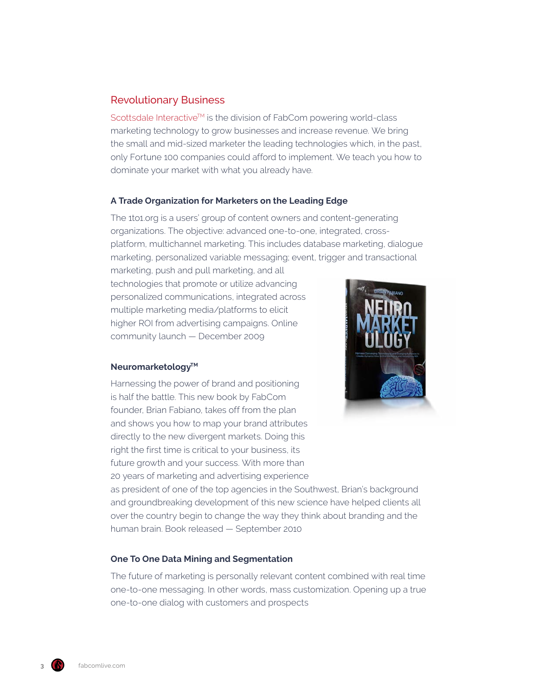### Revolutionary Business

Scottsdale Interactive™ is the division of FabCom powering world-class marketing technology to grow businesses and increase revenue. We bring the small and mid-sized marketer the leading technologies which, in the past, only Fortune 100 companies could afford to implement. We teach you how to dominate your market with what you already have.

#### **A Trade Organization for Marketers on the Leading Edge**

The 1to1.org is a users' group of content owners and content-generating organizations. The objective: advanced one-to-one, integrated, crossplatform, multichannel marketing. This includes database marketing, dialogue marketing, personalized variable messaging; event, trigger and transactional

marketing, push and pull marketing, and all technologies that promote or utilize advancing personalized communications, integrated across multiple marketing media/platforms to elicit higher ROI from advertising campaigns. Online community launch — December 2009

#### **Neuromarketology™**

Harnessing the power of brand and positioning is half the battle. This new book by FabCom founder, Brian Fabiano, takes off from the plan and shows you how to map your brand attributes directly to the new divergent markets. Doing this right the first time is critical to your business, its future growth and your success. With more than 20 years of marketing and advertising experience



as president of one of the top agencies in the Southwest, Brian's background and groundbreaking development of this new science have helped clients all over the country begin to change the way they think about branding and the human brain. Book released — September 2010

#### **One To One Data Mining and Segmentation**

The future of marketing is personally relevant content combined with real time one-to-one messaging. In other words, mass customization. Opening up a true one-to-one dialog with customers and prospects

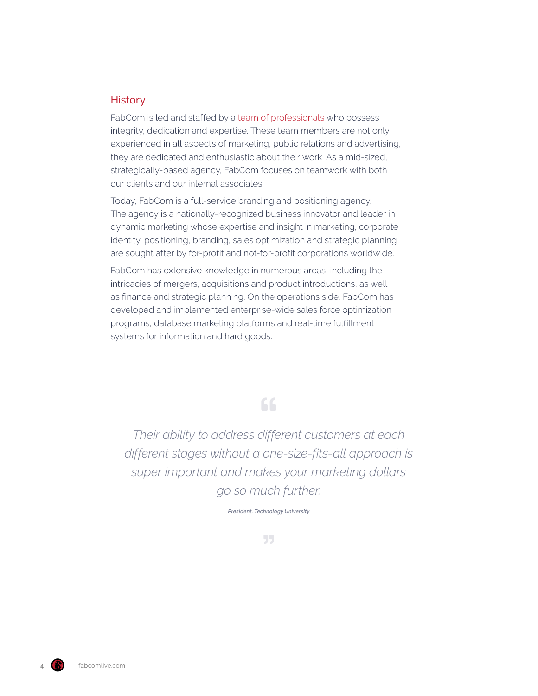#### **History**

FabCom is led and staffed by a [team of professionals](https://www.fabcomlive.com/marketing-team/) who possess integrity, dedication and expertise. These team members are not only experienced in all aspects of marketing, public relations and advertising, they are dedicated and enthusiastic about their work. As a mid-sized, strategically-based agency, FabCom focuses on teamwork with both our clients and our internal associates.

Today, FabCom is a full-service branding and positioning agency. The agency is a nationally-recognized business innovator and leader in dynamic marketing whose expertise and insight in marketing, corporate identity, positioning, branding, sales optimization and strategic planning are sought after by for-profit and not-for-profit corporations worldwide.

FabCom has extensive knowledge in numerous areas, including the intricacies of mergers, acquisitions and product introductions, as well as finance and strategic planning. On the operations side, FabCom has developed and implemented enterprise-wide sales force optimization programs, database marketing platforms and real-time fulfillment systems for information and hard goods.

## 66

*Their ability to address different customers at each different stages without a one-size-fits-all approach is super important and makes your marketing dollars go so much further.*

*President, Technology University*

55